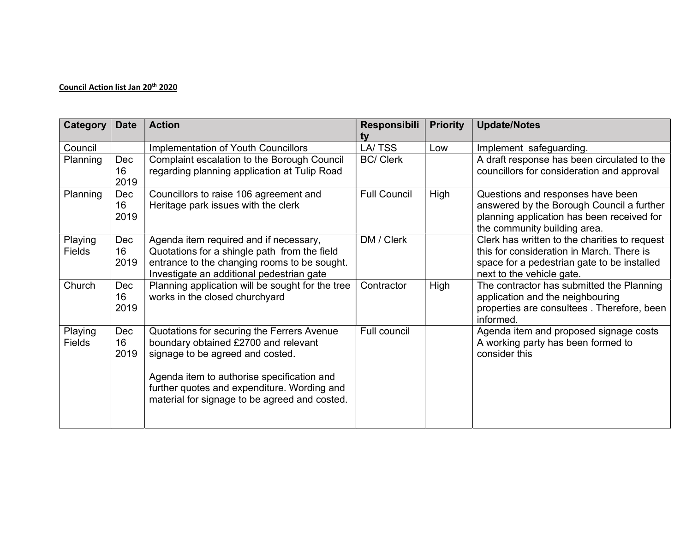## Council Action list Jan 20<sup>th</sup> 2020

| Category                 | <b>Date</b>       | <b>Action</b>                                                                                                                                                                                                                                                        | Responsibili<br>tv  | <b>Priority</b> | <b>Update/Notes</b>                                                                                                                                                    |
|--------------------------|-------------------|----------------------------------------------------------------------------------------------------------------------------------------------------------------------------------------------------------------------------------------------------------------------|---------------------|-----------------|------------------------------------------------------------------------------------------------------------------------------------------------------------------------|
| Council                  |                   | <b>Implementation of Youth Councillors</b>                                                                                                                                                                                                                           | LA/TSS              | Low             | Implement safeguarding.                                                                                                                                                |
| Planning                 | Dec<br>16<br>2019 | Complaint escalation to the Borough Council<br>regarding planning application at Tulip Road                                                                                                                                                                          | <b>BC/ Clerk</b>    |                 | A draft response has been circulated to the<br>councillors for consideration and approval                                                                              |
| <b>Planning</b>          | Dec<br>16<br>2019 | Councillors to raise 106 agreement and<br>Heritage park issues with the clerk                                                                                                                                                                                        | <b>Full Council</b> | High            | Questions and responses have been<br>answered by the Borough Council a further<br>planning application has been received for<br>the community building area.           |
| Playing<br><b>Fields</b> | Dec<br>16<br>2019 | Agenda item required and if necessary,<br>Quotations for a shingle path from the field<br>entrance to the changing rooms to be sought.<br>Investigate an additional pedestrian gate                                                                                  | DM / Clerk          |                 | Clerk has written to the charities to request<br>this for consideration in March. There is<br>space for a pedestrian gate to be installed<br>next to the vehicle gate. |
| Church                   | Dec<br>16<br>2019 | Planning application will be sought for the tree<br>works in the closed churchyard                                                                                                                                                                                   | Contractor          | High            | The contractor has submitted the Planning<br>application and the neighbouring<br>properties are consultees. Therefore, been<br>informed.                               |
| Playing<br><b>Fields</b> | Dec<br>16<br>2019 | Quotations for securing the Ferrers Avenue<br>boundary obtained £2700 and relevant<br>signage to be agreed and costed.<br>Agenda item to authorise specification and<br>further quotes and expenditure. Wording and<br>material for signage to be agreed and costed. | Full council        |                 | Agenda item and proposed signage costs<br>A working party has been formed to<br>consider this                                                                          |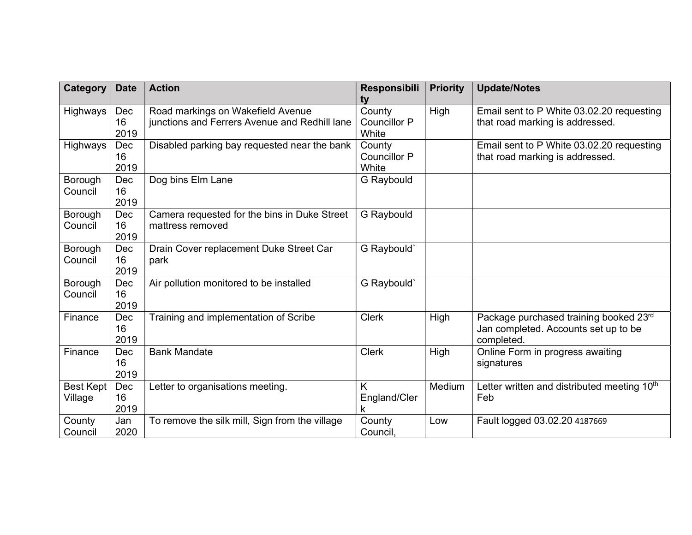| <b>Category</b>             | <b>Date</b>       | <b>Action</b>                                                                      | Responsibili<br>ty                     | <b>Priority</b> | <b>Update/Notes</b>                                                                          |
|-----------------------------|-------------------|------------------------------------------------------------------------------------|----------------------------------------|-----------------|----------------------------------------------------------------------------------------------|
| Highways                    | Dec<br>16<br>2019 | Road markings on Wakefield Avenue<br>junctions and Ferrers Avenue and Redhill lane | County<br><b>Councillor P</b><br>White | High            | Email sent to P White 03.02.20 requesting<br>that road marking is addressed.                 |
| Highways                    | Dec<br>16<br>2019 | Disabled parking bay requested near the bank                                       | County<br><b>Councillor P</b><br>White |                 | Email sent to P White 03.02.20 requesting<br>that road marking is addressed.                 |
| Borough<br>Council          | Dec<br>16<br>2019 | Dog bins Elm Lane                                                                  | <b>G</b> Raybould                      |                 |                                                                                              |
| Borough<br>Council          | Dec<br>16<br>2019 | Camera requested for the bins in Duke Street<br>mattress removed                   | G Raybould                             |                 |                                                                                              |
| Borough<br>Council          | Dec<br>16<br>2019 | Drain Cover replacement Duke Street Car<br>park                                    | G Raybould'                            |                 |                                                                                              |
| Borough<br>Council          | Dec<br>16<br>2019 | Air pollution monitored to be installed                                            | G Raybould'                            |                 |                                                                                              |
| Finance                     | Dec<br>16<br>2019 | Training and implementation of Scribe                                              | <b>Clerk</b>                           | High            | Package purchased training booked 23rd<br>Jan completed. Accounts set up to be<br>completed. |
| Finance                     | Dec<br>16<br>2019 | <b>Bank Mandate</b>                                                                | <b>Clerk</b>                           | High            | Online Form in progress awaiting<br>signatures                                               |
| <b>Best Kept</b><br>Village | Dec<br>16<br>2019 | Letter to organisations meeting.                                                   | Κ<br>England/Cler<br>k                 | Medium          | Letter written and distributed meeting 10th<br>Feb                                           |
| County<br>Council           | Jan<br>2020       | To remove the silk mill, Sign from the village                                     | County<br>Council.                     | Low             | Fault logged 03.02.20 4187669                                                                |